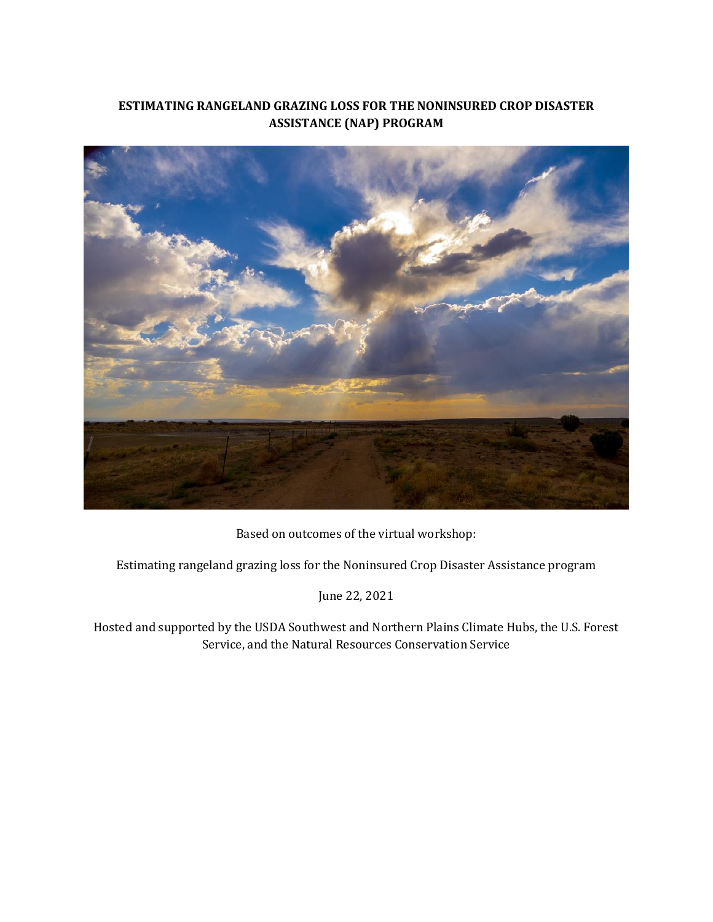# **ESTIMATING RANGELAND GRAZING LOSS FOR THE NONINSURED CROP DISASTER ASSISTANCE (NAP) PROGRAM**



Based on outcomes of the virtual workshop:

Estimating rangeland grazing loss for the Noninsured Crop Disaster Assistance program

June 22, 2021

Hosted and supported by the USDA Southwest and Northern Plains Climate Hubs, the U.S. Forest Service, and the Natural Resources Conservation Service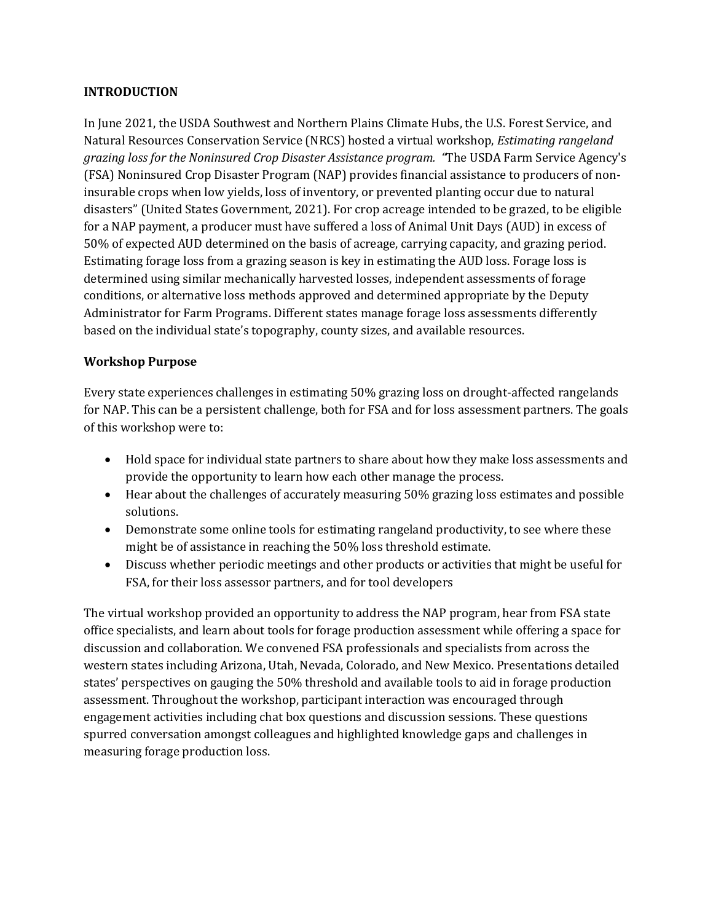### **INTRODUCTION**

In June 2021, the USDA Southwest and Northern Plains Climate Hubs, the U.S. Forest Service, and Natural Resources Conservation Service (NRCS) hosted a virtual workshop, *Estimating rangeland grazing loss for the Noninsured Crop Disaster Assistance program. "*The USDA Farm Service Agency's (FSA) Noninsured Crop Disaster Program (NAP) provides financial assistance to producers of noninsurable crops when low yields, loss of inventory, or prevented planting occur due to natural disasters" (United States Government, 2021). For crop acreage intended to be grazed, to be eligible for a NAP payment, a producer must have suffered a loss of Animal Unit Days (AUD) in excess of 50% of expected AUD determined on the basis of acreage, carrying capacity, and grazing period. Estimating forage loss from a grazing season is key in estimating the AUD loss. Forage loss is determined using similar mechanically harvested losses, independent assessments of forage conditions, or alternative loss methods approved and determined appropriate by the Deputy Administrator for Farm Programs. Different states manage forage loss assessments differently based on the individual state's topography, county sizes, and available resources.

## **Workshop Purpose**

Every state experiences challenges in estimating 50% grazing loss on drought-affected rangelands for NAP. This can be a persistent challenge, both for FSA and for loss assessment partners. The goals of this workshop were to:

- Hold space for individual state partners to share about how they make loss assessments and provide the opportunity to learn how each other manage the process.
- Hear about the challenges of accurately measuring 50% grazing loss estimates and possible solutions.
- Demonstrate some online tools for estimating rangeland productivity, to see where these might be of assistance in reaching the 50% loss threshold estimate.
- Discuss whether periodic meetings and other products or activities that might be useful for FSA, for their loss assessor partners, and for tool developers

The virtual workshop provided an opportunity to address the NAP program, hear from FSA state office specialists, and learn about tools for forage production assessment while offering a space for discussion and collaboration. We convened FSA professionals and specialists from across the western states including Arizona, Utah, Nevada, Colorado, and New Mexico. Presentations detailed states' perspectives on gauging the 50% threshold and available tools to aid in forage production assessment. Throughout the workshop, participant interaction was encouraged through engagement activities including chat box questions and discussion sessions. These questions spurred conversation amongst colleagues and highlighted knowledge gaps and challenges in measuring forage production loss.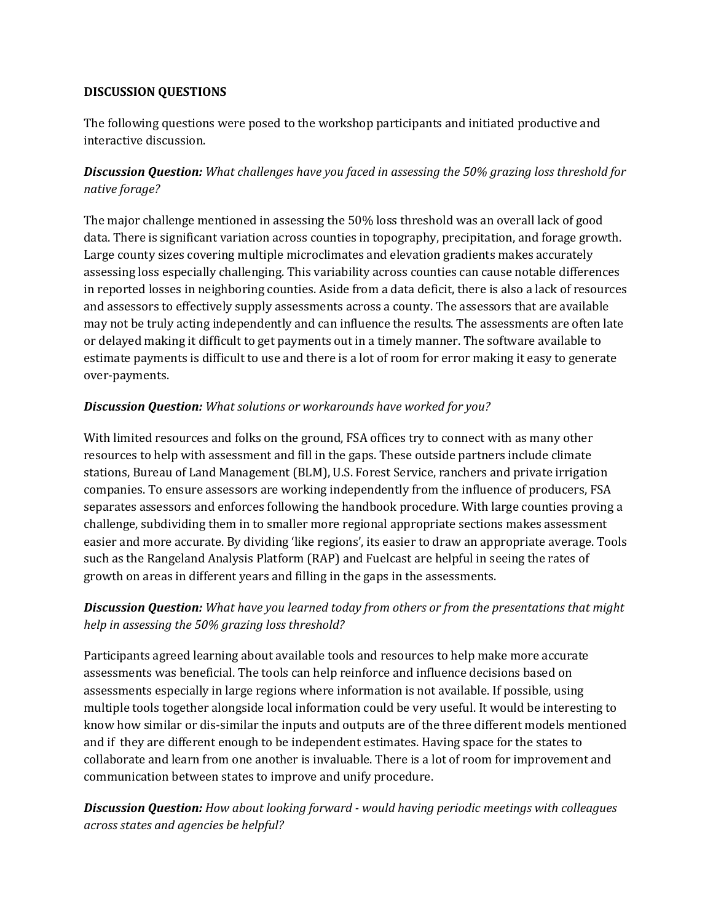## **DISCUSSION QUESTIONS**

The following questions were posed to the workshop participants and initiated productive and interactive discussion.

# *Discussion Question: What challenges have you faced in assessing the 50% grazing loss threshold for native forage?*

The major challenge mentioned in assessing the 50% loss threshold was an overall lack of good data. There is significant variation across counties in topography, precipitation, and forage growth. Large county sizes covering multiple microclimates and elevation gradients makes accurately assessing loss especially challenging. This variability across counties can cause notable differences in reported losses in neighboring counties. Aside from a data deficit, there is also a lack of resources and assessors to effectively supply assessments across a county. The assessors that are available may not be truly acting independently and can influence the results. The assessments are often late or delayed making it difficult to get payments out in a timely manner. The software available to estimate payments is difficult to use and there is a lot of room for error making it easy to generate over-payments.

# *Discussion Question: What solutions or workarounds have worked for you?*

With limited resources and folks on the ground, FSA offices try to connect with as many other resources to help with assessment and fill in the gaps. These outside partners include climate stations, Bureau of Land Management (BLM), U.S. Forest Service, ranchers and private irrigation companies. To ensure assessors are working independently from the influence of producers, FSA separates assessors and enforces following the handbook procedure. With large counties proving a challenge, subdividing them in to smaller more regional appropriate sections makes assessment easier and more accurate. By dividing 'like regions', its easier to draw an appropriate average. Tools such as the Rangeland Analysis Platform (RAP) and Fuelcast are helpful in seeing the rates of growth on areas in different years and filling in the gaps in the assessments.

# *Discussion Question: What have you learned today from others or from the presentations that might help in assessing the 50% grazing loss threshold?*

Participants agreed learning about available tools and resources to help make more accurate assessments was beneficial. The tools can help reinforce and influence decisions based on assessments especially in large regions where information is not available. If possible, using multiple tools together alongside local information could be very useful. It would be interesting to know how similar or dis-similar the inputs and outputs are of the three different models mentioned and if they are different enough to be independent estimates. Having space for the states to collaborate and learn from one another is invaluable. There is a lot of room for improvement and communication between states to improve and unify procedure.

*Discussion Question: How about looking forward - would having periodic meetings with colleagues across states and agencies be helpful?*